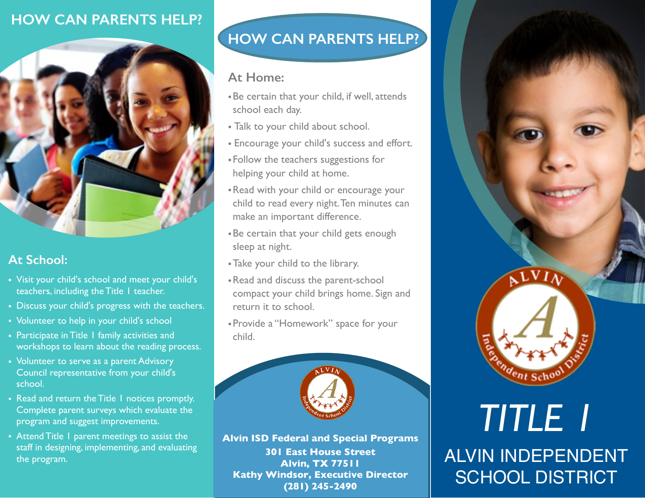## **HOW CAN PARENTS HELP?**



### **At School:**

- **•** Visit your child's school and meet your child's teachers, including the Title 1 teacher.
- Discuss your child's progress with the teachers.
- Volunteer to help in your child's school
- Participate in Title 1 family activities and workshops to learn about the reading process.
- Volunteer to serve as a parent Advisory Council representative from your child's school.
- Read and return the Title 1 notices promptly. Complete parent surveys which evaluate the program and suggest improvements.
- Attend Title 1 parent meetings to assist the staff in designing, implementing, and evaluating the program.

# **HOW CAN PARENTS HELP?**

### **At Home:**

- •Be certain that your child, if well, attends school each day.
- Talk to your child about school.
- Encourage your child's success and effort.
- •Follow the teachers suggestions for helping your child at home.
- •Read with your child or encourage your child to read every night. Ten minutes can make an important difference.
- •Be certain that your child gets enough sleep at night.
- •Take your child to the library.
- •Read and discuss the parent-school compact your child brings home. Sign and return it to school.
- •Provide a "Homework" space for your child.



**Alvin ISD Federal and Special Programs 301 East House Street Alvin, TX 77511 Kathy Windsor, Executive Director (281) 245-2490**



# ALVIN INDEPENDENT SCHOOL DISTRICT *TITLE 1*